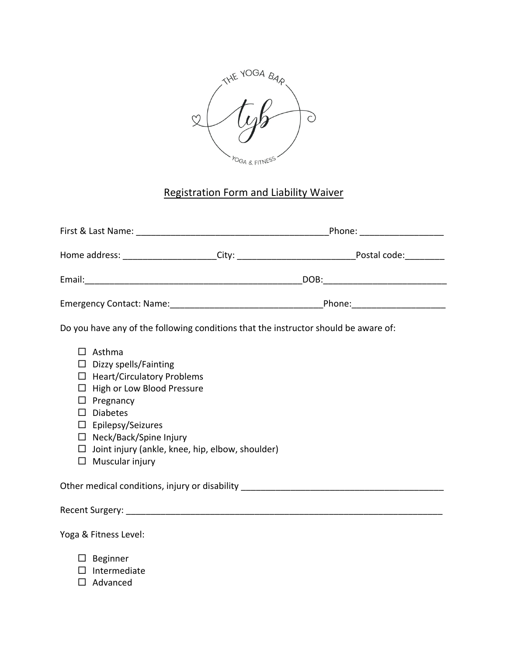

## Registration Form and Liability Waiver

| Home address: ______________________City: __________________________________Postal code: __________                                                                                                                                                                                                                          |  |  |  |  |
|------------------------------------------------------------------------------------------------------------------------------------------------------------------------------------------------------------------------------------------------------------------------------------------------------------------------------|--|--|--|--|
|                                                                                                                                                                                                                                                                                                                              |  |  |  |  |
|                                                                                                                                                                                                                                                                                                                              |  |  |  |  |
| Do you have any of the following conditions that the instructor should be aware of:                                                                                                                                                                                                                                          |  |  |  |  |
| Asthma<br>$\mathsf{L}$<br>$\Box$ Dizzy spells/Fainting<br>$\Box$ Heart/Circulatory Problems<br>$\Box$ High or Low Blood Pressure<br>$\Box$ Pregnancy<br>$\square$ Diabetes<br>$\Box$ Epilepsy/Seizures<br>$\Box$ Neck/Back/Spine Injury<br>$\Box$ Joint injury (ankle, knee, hip, elbow, shoulder)<br>$\Box$ Muscular injury |  |  |  |  |
|                                                                                                                                                                                                                                                                                                                              |  |  |  |  |
|                                                                                                                                                                                                                                                                                                                              |  |  |  |  |
| Yoga & Fitness Level:                                                                                                                                                                                                                                                                                                        |  |  |  |  |
| $\Box$ Beginner                                                                                                                                                                                                                                                                                                              |  |  |  |  |

- $\square$  Intermediate
- $\square$  Advanced